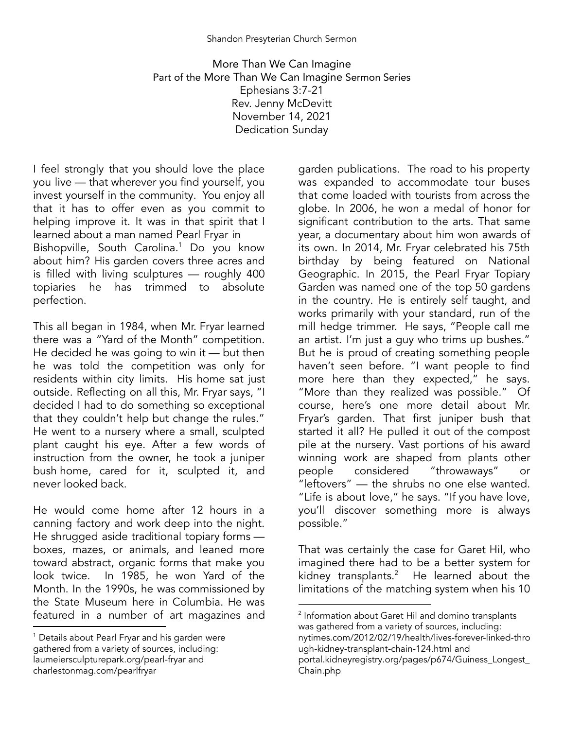More Than We Can Imagine Part of the More Than We Can Imagine Sermon Series Ephesians 3:7-21 Rev. Jenny McDevitt November 14, 2021 Dedication Sunday

I feel strongly that you should love the place you live — that wherever you find yourself, you invest yourself in the community. You enjoy all that it has to offer even as you commit to helping improve it. It was in that spirit that I learned about a man named Pearl Fryar in Bishopville, South Carolina.<sup>1</sup> Do you know about him? His garden covers three acres and is filled with living sculptures — roughly 400 topiaries he has trimmed to absolute perfection.

This all began in 1984, when Mr. Fryar learned there was a "Yard of the Month" competition. He decided he was going to win it — but then he was told the competition was only for residents within city limits. His home sat just outside. Reflecting on all this, Mr. Fryar says, "I decided I had to do something so exceptional that they couldn't help but change the rules." He went to a nursery where a small, sculpted plant caught his eye. After a few words of instruction from the owner, he took a juniper bush home, cared for it, sculpted it, and never looked back.

He would come home after 12 hours in a canning factory and work deep into the night. He shrugged aside traditional topiary forms boxes, mazes, or animals, and leaned more toward abstract, organic forms that make you look twice. In 1985, he won Yard of the Month. In the 1990s, he was commissioned by the State Museum here in Columbia. He was featured in a number of art magazines and

garden publications. The road to his property was expanded to accommodate tour buses that come loaded with tourists from across the globe. In 2006, he won a medal of honor for significant contribution to the arts. That same year, a documentary about him won awards of its own. In 2014, Mr. Fryar celebrated his 75th birthday by being featured on National Geographic. In 2015, the Pearl Fryar Topiary Garden was named one of the top 50 gardens in the country. He is entirely self taught, and works primarily with your standard, run of the mill hedge trimmer. He says, "People call me an artist. I'm just a guy who trims up bushes." But he is proud of creating something people haven't seen before. "I want people to find more here than they expected," he says. "More than they realized was possible." Of course, here's one more detail about Mr. Fryar's garden. That first juniper bush that started it all? He pulled it out of the compost pile at the nursery. Vast portions of his award winning work are shaped from plants other people considered "throwaways" or "leftovers" — the shrubs no one else wanted. "Life is about love," he says. "If you have love, you'll discover something more is always possible."

That was certainly the case for Garet Hil, who imagined there had to be a better system for kidney transplants. $^2$  He learned about the limitations of the matching system when his 10

<sup>&</sup>lt;sup>1</sup> Details about Pearl Fryar and his garden were gathered from a variety of sources, including: [laumeiersculpturepark.org/pearl-fryar](http://laumeiersculpturepark.org/pearl-fryar) and charlestonmag.com/pearlfryar

<sup>&</sup>lt;sup>2</sup> Information about Garet Hil and domino transplants was gathered from a variety of sources, including: nytimes.com/2012/02/19/health/lives-forever-linked-thro ugh-kidney-transplant-chain-124.html and portal.kidneyregistry.org/pages/p674/Guiness\_Longest\_ Chain.php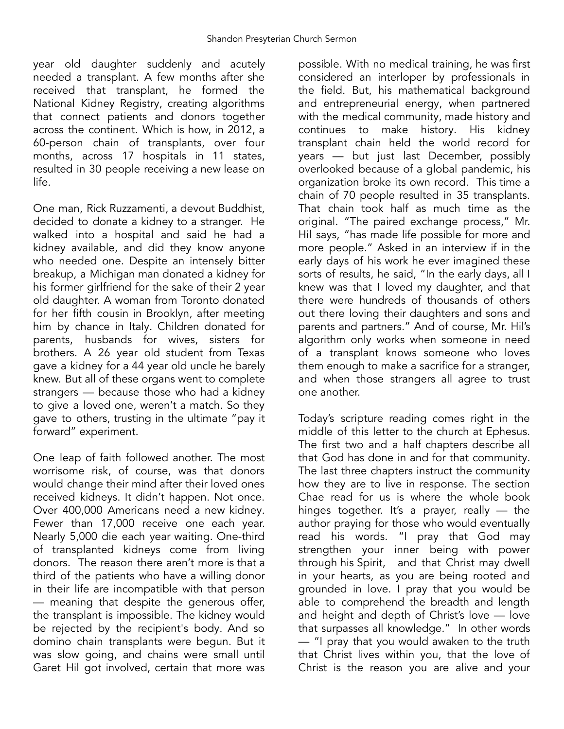year old daughter suddenly and acutely needed a transplant. A few months after she received that transplant, he formed the National Kidney Registry, creating algorithms that connect patients and donors together across the continent. Which is how, in 2012, a 60-person chain of transplants, over four months, across 17 hospitals in 11 states, resulted in 30 people receiving a new lease on life.

One man, Rick Ruzzamenti, a devout Buddhist, decided to donate a kidney to a stranger. He walked into a hospital and said he had a kidney available, and did they know anyone who needed one. Despite an intensely bitter breakup, a Michigan man donated a kidney for his former girlfriend for the sake of their 2 year old daughter. A woman from Toronto donated for her fifth cousin in Brooklyn, after meeting him by chance in Italy. Children donated for parents, husbands for wives, sisters for brothers. A 26 year old student from Texas gave a kidney for a 44 year old uncle he barely knew. But all of these organs went to complete strangers — because those who had a kidney to give a loved one, weren't a match. So they gave to others, trusting in the ultimate "pay it forward" experiment.

One leap of faith followed another. The most worrisome risk, of course, was that donors would change their mind after their loved ones received kidneys. It didn't happen. Not once. Over 400,000 Americans need a new kidney. Fewer than 17,000 receive one each year. Nearly 5,000 die each year waiting. One-third of transplanted kidneys come from living donors. The reason there aren't more is that a third of the patients who have a willing donor in their life are incompatible with that person — meaning that despite the generous offer, the transplant is impossible. The kidney would be rejected by the recipient's body. And so domino chain transplants were begun. But it was slow going, and chains were small until Garet Hil got involved, certain that more was

possible. With no medical training, he was first considered an interloper by professionals in the field. But, his mathematical background and entrepreneurial energy, when partnered with the medical community, made history and continues to make history. His kidney transplant chain held the world record for years — but just last December, possibly overlooked because of a global pandemic, his organization broke its own record. This time a chain of 70 people resulted in 35 transplants. That chain took half as much time as the original. "The paired exchange process," Mr. Hil says, "has made life possible for more and more people." Asked in an interview if in the early days of his work he ever imagined these sorts of results, he said, "In the early days, all I knew was that I loved my daughter, and that there were hundreds of thousands of others out there loving their daughters and sons and parents and partners." And of course, Mr. Hil's algorithm only works when someone in need of a transplant knows someone who loves them enough to make a sacrifice for a stranger, and when those strangers all agree to trust one another.

Today's scripture reading comes right in the middle of this letter to the church at Ephesus. The first two and a half chapters describe all that God has done in and for that community. The last three chapters instruct the community how they are to live in response. The section Chae read for us is where the whole book hinges together. It's a prayer, really — the author praying for those who would eventually read his words. "I pray that God may strengthen your inner being with power through his Spirit, and that Christ may dwell in your hearts, as you are being rooted and grounded in love. I pray that you would be able to comprehend the breadth and length and height and depth of Christ's love — love that surpasses all knowledge." In other words — "I pray that you would awaken to the truth that Christ lives within you, that the love of Christ is the reason you are alive and your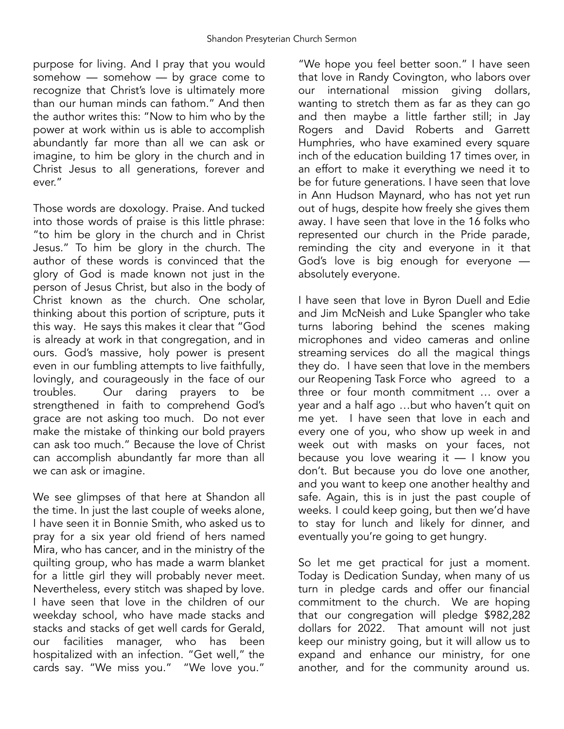purpose for living. And I pray that you would somehow — somehow — by grace come to recognize that Christ's love is ultimately more than our human minds can fathom." And then the author writes this: "Now to him who by the power at work within us is able to accomplish abundantly far more than all we can ask or imagine, to him be glory in the church and in Christ Jesus to all generations, forever and ever."

Those words are doxology. Praise. And tucked into those words of praise is this little phrase: "to him be glory in the church and in Christ Jesus." To him be glory in the church. The author of these words is convinced that the glory of God is made known not just in the person of Jesus Christ, but also in the body of Christ known as the church. One scholar, thinking about this portion of scripture, puts it this way. He says this makes it clear that "God is already at work in that congregation, and in ours. God's massive, holy power is present even in our fumbling attempts to live faithfully, lovingly, and courageously in the face of our troubles. Our daring prayers to be strengthened in faith to comprehend God's grace are not asking too much. Do not ever make the mistake of thinking our bold prayers can ask too much." Because the love of Christ can accomplish abundantly far more than all we can ask or imagine.

We see glimpses of that here at Shandon all the time. In just the last couple of weeks alone, I have seen it in Bonnie Smith, who asked us to pray for a six year old friend of hers named Mira, who has cancer, and in the ministry of the quilting group, who has made a warm blanket for a little girl they will probably never meet. Nevertheless, every stitch was shaped by love. I have seen that love in the children of our weekday school, who have made stacks and stacks and stacks of get well cards for Gerald, our facilities manager, who has been hospitalized with an infection. "Get well," the cards say. "We miss you." "We love you."

"We hope you feel better soon." I have seen that love in Randy Covington, who labors over our international mission giving dollars, wanting to stretch them as far as they can go and then maybe a little farther still; in Jay Rogers and David Roberts and Garrett Humphries, who have examined every square inch of the education building 17 times over, in an effort to make it everything we need it to be for future generations. I have seen that love in Ann Hudson Maynard, who has not yet run out of hugs, despite how freely she gives them away. I have seen that love in the 16 folks who represented our church in the Pride parade, reminding the city and everyone in it that God's love is big enough for everyone absolutely everyone.

I have seen that love in Byron Duell and Edie and Jim McNeish and Luke Spangler who take turns laboring behind the scenes making microphones and video cameras and online streaming services do all the magical things they do. I have seen that love in the members our Reopening Task Force who agreed to a three or four month commitment … over a year and a half ago …but who haven't quit on me yet. I have seen that love in each and every one of you, who show up week in and week out with masks on your faces, not because you love wearing it  $-1$  know you don't. But because you do love one another, and you want to keep one another healthy and safe. Again, this is in just the past couple of weeks. I could keep going, but then we'd have to stay for lunch and likely for dinner, and eventually you're going to get hungry.

So let me get practical for just a moment. Today is Dedication Sunday, when many of us turn in pledge cards and offer our financial commitment to the church. We are hoping that our congregation will pledge \$982,282 dollars for 2022. That amount will not just keep our ministry going, but it will allow us to expand and enhance our ministry, for one another, and for the community around us.